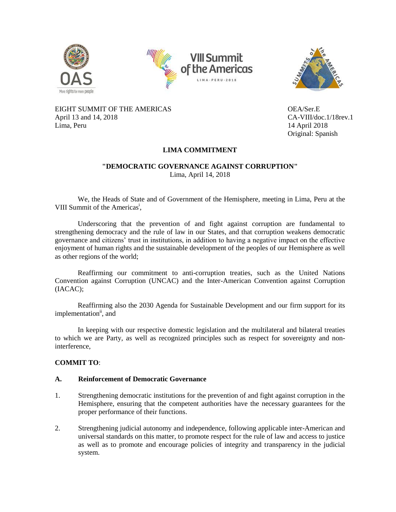





EIGHT SUMMIT OF THE AMERICAS OEA/Ser.E April 13 and 14, 2018 CA-VIII/doc.1/18rev.1 Lima, Peru 14 April 2018

Original: Spanish

# **LIMA COMMITMENT**

### **"DEMOCRATIC GOVERNANCE AGAINST CORRUPTION"** Lima, April 14, 2018

We, the Heads of State and of Government of the Hemisphere, meeting in Lima, Peru at the VIII Summit of the Americas<sup>i</sup>,

Underscoring that the prevention of and fight against corruption are fundamental to strengthening democracy and the rule of law in our States, and that corruption weakens democratic governance and citizens' trust in institutions, in addition to having a negative impact on the effective enjoyment of human rights and the sustainable development of the peoples of our Hemisphere as well as other regions of the world;

Reaffirming our commitment to anti-corruption treaties, such as the United Nations Convention against Corruption (UNCAC) and the Inter-American Convention against Corruption (IACAC);

Reaffirming also the 2030 Agenda for Sustainable Development and our firm support for its implementation<sup>ii</sup>, and

In keeping with our respective domestic legislation and the multilateral and bilateral treaties to which we are Party, as well as recognized principles such as respect for sovereignty and noninterference,

# **COMMIT TO**:

# **A. Reinforcement of Democratic Governance**

- 1. Strengthening democratic institutions for the prevention of and fight against corruption in the Hemisphere, ensuring that the competent authorities have the necessary guarantees for the proper performance of their functions.
- 2. Strengthening judicial autonomy and independence, following applicable inter-American and universal standards on this matter, to promote respect for the rule of law and access to justice as well as to promote and encourage policies of integrity and transparency in the judicial system.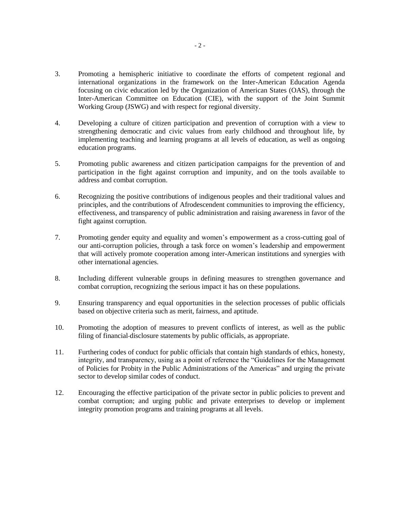- 3. Promoting a hemispheric initiative to coordinate the efforts of competent regional and international organizations in the framework on the Inter-American Education Agenda focusing on civic education led by the Organization of American States (OAS), through the Inter-American Committee on Education (CIE), with the support of the Joint Summit Working Group (JSWG) and with respect for regional diversity.
- 4. Developing a culture of citizen participation and prevention of corruption with a view to strengthening democratic and civic values from early childhood and throughout life, by implementing teaching and learning programs at all levels of education, as well as ongoing education programs.
- 5. Promoting public awareness and citizen participation campaigns for the prevention of and participation in the fight against corruption and impunity, and on the tools available to address and combat corruption.
- 6. Recognizing the positive contributions of indigenous peoples and their traditional values and principles, and the contributions of Afrodescendent communities to improving the efficiency, effectiveness, and transparency of public administration and raising awareness in favor of the fight against corruption.
- 7. Promoting gender equity and equality and women's empowerment as a cross-cutting goal of our anti-corruption policies, through a task force on women's leadership and empowerment that will actively promote cooperation among inter-American institutions and synergies with other international agencies.
- 8. Including different vulnerable groups in defining measures to strengthen governance and combat corruption, recognizing the serious impact it has on these populations.
- 9. Ensuring transparency and equal opportunities in the selection processes of public officials based on objective criteria such as merit, fairness, and aptitude.
- 10. Promoting the adoption of measures to prevent conflicts of interest, as well as the public filing of financial disclosure statements by public officials, as appropriate.
- 11. Furthering codes of conduct for public officials that contain high standards of ethics, honesty, integrity, and transparency, using as a point of reference the "Guidelines for the Management of Policies for Probity in the Public Administrations of the Americas" and urging the private sector to develop similar codes of conduct.
- 12. Encouraging the effective participation of the private sector in public policies to prevent and combat corruption; and urging public and private enterprises to develop or implement integrity promotion programs and training programs at all levels.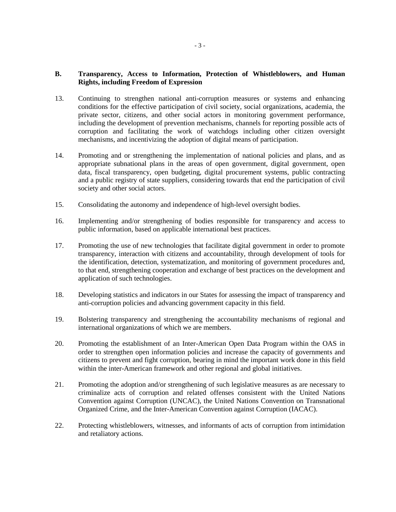# **B. Transparency, Access to Information, Protection of Whistleblowers, and Human Rights, including Freedom of Expression**

- 13. Continuing to strengthen national anti-corruption measures or systems and enhancing conditions for the effective participation of civil society, social organizations, academia, the private sector, citizens, and other social actors in monitoring government performance, including the development of prevention mechanisms, channels for reporting possible acts of corruption and facilitating the work of watchdogs including other citizen oversight mechanisms, and incentivizing the adoption of digital means of participation.
- 14. Promoting and or strengthening the implementation of national policies and plans, and as appropriate subnational plans in the areas of open government, digital government, open data, fiscal transparency, open budgeting, digital procurement systems, public contracting and a public registry of state suppliers, considering towards that end the participation of civil society and other social actors.
- 15. Consolidating the autonomy and independence of high-level oversight bodies.
- 16. Implementing and/or strengthening of bodies responsible for transparency and access to public information, based on applicable international best practices.
- 17. Promoting the use of new technologies that facilitate digital government in order to promote transparency, interaction with citizens and accountability, through development of tools for the identification, detection, systematization, and monitoring of government procedures and, to that end, strengthening cooperation and exchange of best practices on the development and application of such technologies.
- 18. Developing statistics and indicators in our States for assessing the impact of transparency and anti-corruption policies and advancing government capacity in this field.
- 19. Bolstering transparency and strengthening the accountability mechanisms of regional and international organizations of which we are members.
- 20. Promoting the establishment of an Inter-American Open Data Program within the OAS in order to strengthen open information policies and increase the capacity of governments and citizens to prevent and fight corruption, bearing in mind the important work done in this field within the inter-American framework and other regional and global initiatives.
- 21. Promoting the adoption and/or strengthening of such legislative measures as are necessary to criminalize acts of corruption and related offenses consistent with the United Nations Convention against Corruption (UNCAC), the United Nations Convention on Transnational Organized Crime, and the Inter-American Convention against Corruption (IACAC).
- 22. Protecting whistleblowers, witnesses, and informants of acts of corruption from intimidation and retaliatory actions.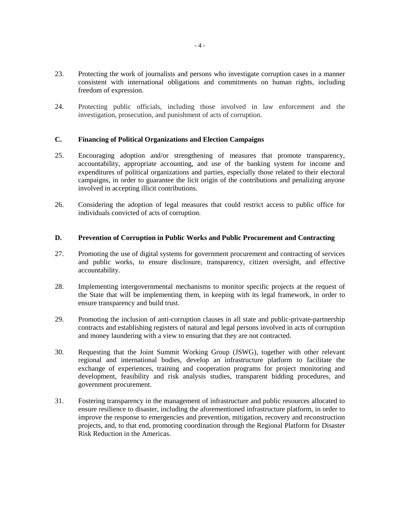- 23. Protecting the work of journalists and persons who investigate corruption cases in a manner consistent with international obligations and commitments on human rights, including freedom of expression.
- 24. Protecting public officials, including those involved in law enforcement and the investigation, prosecution, and punishment of acts of corruption.

# **C. Financing of Political Organizations and Election Campaigns**

- 25. Encouraging adoption and/or strengthening of measures that promote transparency, accountability, appropriate accounting, and use of the banking system for income and expenditures of political organizations and parties, especially those related to their electoral campaigns, in order to guarantee the licit origin of the contributions and penalizing anyone involved in accepting illicit contributions.
- 26. Considering the adoption of legal measures that could restrict access to public office for individuals convicted of acts of corruption.

### **D. Prevention of Corruption in Public Works and Public Procurement and Contracting**

- 27. Promoting the use of digital systems for government procurement and contracting of services and public works, to ensure disclosure, transparency, citizen oversight, and effective accountability.
- 28. Implementing intergovernmental mechanisms to monitor specific projects at the request of the State that will be implementing them, in keeping with its legal framework, in order to ensure transparency and build trust.
- 29. Promoting the inclusion of anti-corruption clauses in all state and public-private-partnership contracts and establishing registers of natural and legal persons involved in acts of corruption and money laundering with a view to ensuring that they are not contracted.
- 30. Requesting that the Joint Summit Working Group (JSWG), together with other relevant regional and international bodies, develop an infrastructure platform to facilitate the exchange of experiences, training and cooperation programs for project monitoring and development, feasibility and risk analysis studies, transparent bidding procedures, and government procurement.
- 31. Fostering transparency in the management of infrastructure and public resources allocated to ensure resilience to disaster, including the aforementioned infrastructure platform, in order to improve the response to emergencies and prevention, mitigation, recovery and reconstruction projects, and, to that end, promoting coordination through the Regional Platform for Disaster Risk Reduction in the Americas.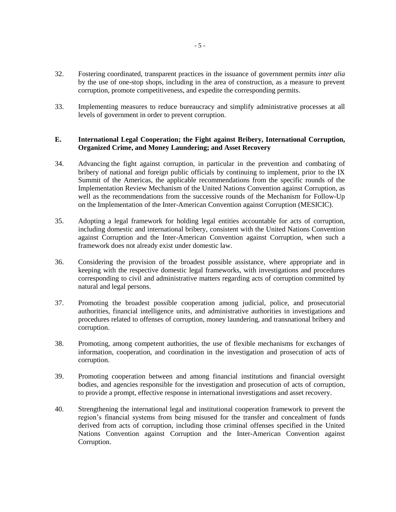- 32. Fostering coordinated, transparent practices in the issuance of government permits *inter alia* by the use of one-stop shops, including in the area of construction, as a measure to prevent corruption, promote competitiveness, and expedite the corresponding permits.
- 33. Implementing measures to reduce bureaucracy and simplify administrative processes at all levels of government in order to prevent corruption.

### **E. International Legal Cooperation; the Fight against Bribery, International Corruption, Organized Crime, and Money Laundering; and Asset Recovery**

- 34. Advancing the fight against corruption, in particular in the prevention and combating of bribery of national and foreign public officials by continuing to implement, prior to the IX Summit of the Americas, the applicable recommendations from the specific rounds of the Implementation Review Mechanism of the United Nations Convention against Corruption, as well as the recommendations from the successive rounds of the Mechanism for Follow-Up on the Implementation of the Inter-American Convention against Corruption (MESICIC).
- 35. Adopting a legal framework for holding legal entities accountable for acts of corruption, including domestic and international bribery, consistent with the United Nations Convention against Corruption and the Inter-American Convention against Corruption, when such a framework does not already exist under domestic law.
- 36. Considering the provision of the broadest possible assistance, where appropriate and in keeping with the respective domestic legal frameworks, with investigations and procedures corresponding to civil and administrative matters regarding acts of corruption committed by natural and legal persons.
- 37. Promoting the broadest possible cooperation among judicial, police, and prosecutorial authorities, financial intelligence units, and administrative authorities in investigations and procedures related to offenses of corruption, money laundering, and transnational bribery and corruption.
- 38. Promoting, among competent authorities, the use of flexible mechanisms for exchanges of information, cooperation, and coordination in the investigation and prosecution of acts of corruption.
- 39. Promoting cooperation between and among financial institutions and financial oversight bodies, and agencies responsible for the investigation and prosecution of acts of corruption, to provide a prompt, effective response in international investigations and asset recovery.
- 40. Strengthening the international legal and institutional cooperation framework to prevent the region's financial systems from being misused for the transfer and concealment of funds derived from acts of corruption, including those criminal offenses specified in the United Nations Convention against Corruption and the Inter-American Convention against Corruption.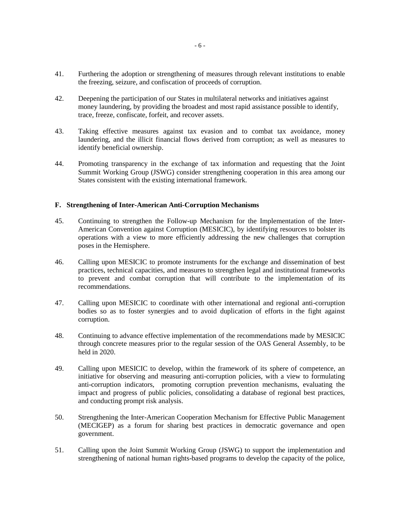- 41. Furthering the adoption or strengthening of measures through relevant institutions to enable the freezing, seizure, and confiscation of proceeds of corruption.
- 42. Deepening the participation of our States in multilateral networks and initiatives against money laundering, by providing the broadest and most rapid assistance possible to identify, trace, freeze, confiscate, forfeit, and recover assets.
- 43. Taking effective measures against tax evasion and to combat tax avoidance, money laundering, and the illicit financial flows derived from corruption; as well as measures to identify beneficial ownership.
- 44. Promoting transparency in the exchange of tax information and requesting that the Joint Summit Working Group (JSWG) consider strengthening cooperation in this area among our States consistent with the existing international framework.

### **F. Strengthening of Inter-American Anti-Corruption Mechanisms**

- 45. Continuing to strengthen the Follow-up Mechanism for the Implementation of the Inter-American Convention against Corruption (MESICIC), by identifying resources to bolster its operations with a view to more efficiently addressing the new challenges that corruption poses in the Hemisphere.
- 46. Calling upon MESICIC to promote instruments for the exchange and dissemination of best practices, technical capacities, and measures to strengthen legal and institutional frameworks to prevent and combat corruption that will contribute to the implementation of its recommendations.
- 47. Calling upon MESICIC to coordinate with other international and regional anti-corruption bodies so as to foster synergies and to avoid duplication of efforts in the fight against corruption.
- 48. Continuing to advance effective implementation of the recommendations made by MESICIC through concrete measures prior to the regular session of the OAS General Assembly, to be held in 2020.
- 49. Calling upon MESICIC to develop, within the framework of its sphere of competence, an initiative for observing and measuring anti-corruption policies, with a view to formulating anti-corruption indicators, promoting corruption prevention mechanisms, evaluating the impact and progress of public policies, consolidating a database of regional best practices, and conducting prompt risk analysis.
- 50. Strengthening the Inter-American Cooperation Mechanism for Effective Public Management (MECIGEP) as a forum for sharing best practices in democratic governance and open government.
- 51. Calling upon the Joint Summit Working Group (JSWG) to support the implementation and strengthening of national human rights-based programs to develop the capacity of the police,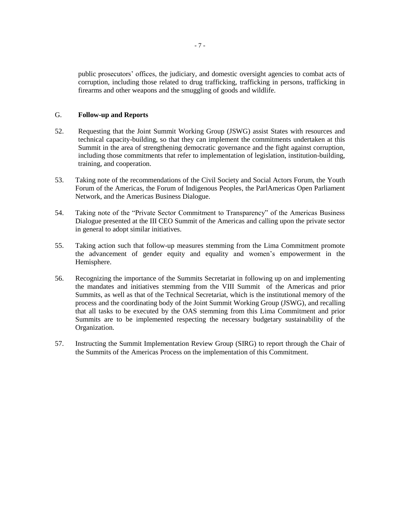public prosecutors' offices, the judiciary, and domestic oversight agencies to combat acts of corruption, including those related to drug trafficking, trafficking in persons, trafficking in firearms and other weapons and the smuggling of goods and wildlife.

#### G. **Follow-up and Reports**

- 52. Requesting that the Joint Summit Working Group (JSWG) assist States with resources and technical capacity-building, so that they can implement the commitments undertaken at this Summit in the area of strengthening democratic governance and the fight against corruption, including those commitments that refer to implementation of legislation, institution-building, training, and cooperation.
- 53. Taking note of the recommendations of the Civil Society and Social Actors Forum, the Youth Forum of the Americas, the Forum of Indigenous Peoples, the ParlAmericas Open Parliament Network, and the Americas Business Dialogue.
- 54. Taking note of the "Private Sector Commitment to Transparency" of the Americas Business Dialogue presented at the III CEO Summit of the Americas and calling upon the private sector in general to adopt similar initiatives.
- 55. Taking action such that follow-up measures stemming from the Lima Commitment promote the advancement of gender equity and equality and women's empowerment in the Hemisphere.
- 56. Recognizing the importance of the Summits Secretariat in following up on and implementing the mandates and initiatives stemming from the VIII Summit of the Americas and prior Summits, as well as that of the Technical Secretariat, which is the institutional memory of the process and the coordinating body of the Joint Summit Working Group (JSWG), and recalling that all tasks to be executed by the OAS stemming from this Lima Commitment and prior Summits are to be implemented respecting the necessary budgetary sustainability of the Organization.
- 57. Instructing the Summit Implementation Review Group (SIRG) to report through the Chair of the Summits of the Americas Process on the implementation of this Commitment.